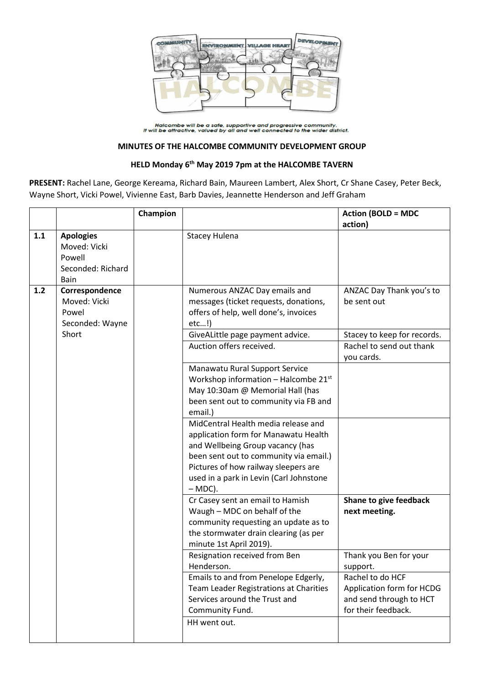

Halcombe will be a safe, supportive and progressive community.<br>It will be attractive, valued by all and well connected to the wider district.

## **MINUTES OF THE HALCOMBE COMMUNITY DEVELOPMENT GROUP**

## **HELD Monday 6 th May 2019 7pm at the HALCOMBE TAVERN**

**PRESENT:** Rachel Lane, George Kereama, Richard Bain, Maureen Lambert, Alex Short, Cr Shane Casey, Peter Beck, Wayne Short, Vicki Powel, Vivienne East, Barb Davies, Jeannette Henderson and Jeff Graham

|     |                                                                         | Champion |                                                                                                                                                                                                                                                           | <b>Action (BOLD = MDC</b><br>action)                                                            |
|-----|-------------------------------------------------------------------------|----------|-----------------------------------------------------------------------------------------------------------------------------------------------------------------------------------------------------------------------------------------------------------|-------------------------------------------------------------------------------------------------|
| 1.1 | <b>Apologies</b><br>Moved: Vicki<br>Powell<br>Seconded: Richard<br>Bain |          | <b>Stacey Hulena</b>                                                                                                                                                                                                                                      |                                                                                                 |
| 1.2 | Correspondence<br>Moved: Vicki<br>Powel<br>Seconded: Wayne<br>Short     |          | Numerous ANZAC Day emails and<br>messages (ticket requests, donations,<br>offers of help, well done's, invoices<br>etc!)<br>GiveALittle page payment advice.                                                                                              | ANZAC Day Thank you's to<br>be sent out<br>Stacey to keep for records.                          |
|     |                                                                         |          | Auction offers received.                                                                                                                                                                                                                                  | Rachel to send out thank                                                                        |
|     |                                                                         |          |                                                                                                                                                                                                                                                           | you cards.                                                                                      |
|     |                                                                         |          | Manawatu Rural Support Service<br>Workshop information - Halcombe $21^{st}$<br>May 10:30am @ Memorial Hall (has<br>been sent out to community via FB and<br>email.)                                                                                       |                                                                                                 |
|     |                                                                         |          | MidCentral Health media release and<br>application form for Manawatu Health<br>and Wellbeing Group vacancy (has<br>been sent out to community via email.)<br>Pictures of how railway sleepers are<br>used in a park in Levin (Carl Johnstone<br>$-MDC$ ). |                                                                                                 |
|     |                                                                         |          | Cr Casey sent an email to Hamish<br>Waugh - MDC on behalf of the<br>community requesting an update as to<br>the stormwater drain clearing (as per<br>minute 1st April 2019).                                                                              | Shane to give feedback<br>next meeting.                                                         |
|     |                                                                         |          | Resignation received from Ben<br>Henderson.                                                                                                                                                                                                               | Thank you Ben for your<br>support.                                                              |
|     |                                                                         |          | Emails to and from Penelope Edgerly,<br>Team Leader Registrations at Charities<br>Services around the Trust and<br>Community Fund.                                                                                                                        | Rachel to do HCF<br>Application form for HCDG<br>and send through to HCT<br>for their feedback. |
|     |                                                                         |          | HH went out.                                                                                                                                                                                                                                              |                                                                                                 |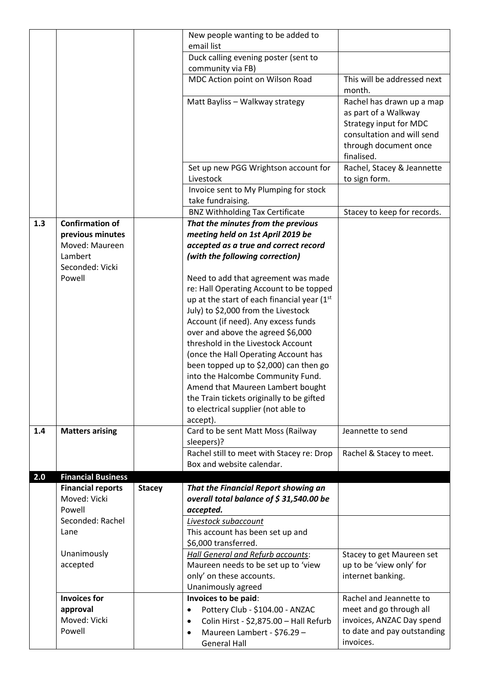|     |                                                           |               | New people wanting to be added to                                                                                                                                                                                                                                                                                                                                                                                                                                                                                                                                                                                                                                                            |                                                                                                                                                  |
|-----|-----------------------------------------------------------|---------------|----------------------------------------------------------------------------------------------------------------------------------------------------------------------------------------------------------------------------------------------------------------------------------------------------------------------------------------------------------------------------------------------------------------------------------------------------------------------------------------------------------------------------------------------------------------------------------------------------------------------------------------------------------------------------------------------|--------------------------------------------------------------------------------------------------------------------------------------------------|
|     |                                                           |               | email list                                                                                                                                                                                                                                                                                                                                                                                                                                                                                                                                                                                                                                                                                   |                                                                                                                                                  |
|     |                                                           |               | Duck calling evening poster (sent to                                                                                                                                                                                                                                                                                                                                                                                                                                                                                                                                                                                                                                                         |                                                                                                                                                  |
|     |                                                           |               | community via FB)                                                                                                                                                                                                                                                                                                                                                                                                                                                                                                                                                                                                                                                                            |                                                                                                                                                  |
|     |                                                           |               | MDC Action point on Wilson Road                                                                                                                                                                                                                                                                                                                                                                                                                                                                                                                                                                                                                                                              | This will be addressed next<br>month.                                                                                                            |
|     |                                                           |               | Matt Bayliss - Walkway strategy                                                                                                                                                                                                                                                                                                                                                                                                                                                                                                                                                                                                                                                              | Rachel has drawn up a map<br>as part of a Walkway<br>Strategy input for MDC<br>consultation and will send<br>through document once<br>finalised. |
|     |                                                           |               | Set up new PGG Wrightson account for<br>Livestock                                                                                                                                                                                                                                                                                                                                                                                                                                                                                                                                                                                                                                            | Rachel, Stacey & Jeannette<br>to sign form.                                                                                                      |
|     |                                                           |               | Invoice sent to My Plumping for stock<br>take fundraising.                                                                                                                                                                                                                                                                                                                                                                                                                                                                                                                                                                                                                                   |                                                                                                                                                  |
|     |                                                           |               | <b>BNZ Withholding Tax Certificate</b>                                                                                                                                                                                                                                                                                                                                                                                                                                                                                                                                                                                                                                                       | Stacey to keep for records.                                                                                                                      |
| 1.3 | <b>Confirmation of</b>                                    |               | That the minutes from the previous                                                                                                                                                                                                                                                                                                                                                                                                                                                                                                                                                                                                                                                           |                                                                                                                                                  |
|     | previous minutes                                          |               | meeting held on 1st April 2019 be                                                                                                                                                                                                                                                                                                                                                                                                                                                                                                                                                                                                                                                            |                                                                                                                                                  |
|     | Moved: Maureen                                            |               | accepted as a true and correct record                                                                                                                                                                                                                                                                                                                                                                                                                                                                                                                                                                                                                                                        |                                                                                                                                                  |
|     | Lambert<br>Seconded: Vicki                                |               | (with the following correction)                                                                                                                                                                                                                                                                                                                                                                                                                                                                                                                                                                                                                                                              |                                                                                                                                                  |
| 1.4 | Powell<br><b>Matters arising</b>                          |               | Need to add that agreement was made<br>re: Hall Operating Account to be topped<br>up at the start of each financial year (1 <sup>st</sup><br>July) to \$2,000 from the Livestock<br>Account (if need). Any excess funds<br>over and above the agreed \$6,000<br>threshold in the Livestock Account<br>(once the Hall Operating Account has<br>been topped up to \$2,000) can then go<br>into the Halcombe Community Fund.<br>Amend that Maureen Lambert bought<br>the Train tickets originally to be gifted<br>to electrical supplier (not able to<br>accept).<br>Card to be sent Matt Moss (Railway<br>sleepers)?<br>Rachel still to meet with Stacey re: Drop<br>Box and website calendar. | Jeannette to send<br>Rachel & Stacey to meet.                                                                                                    |
| 2.0 | <b>Financial Business</b>                                 |               |                                                                                                                                                                                                                                                                                                                                                                                                                                                                                                                                                                                                                                                                                              |                                                                                                                                                  |
|     | <b>Financial reports</b><br>Moved: Vicki<br>Powell        | <b>Stacey</b> | That the Financial Report showing an<br>overall total balance of \$31,540.00 be<br>accepted.                                                                                                                                                                                                                                                                                                                                                                                                                                                                                                                                                                                                 |                                                                                                                                                  |
|     | Seconded: Rachel<br>Lane                                  |               | Livestock subaccount<br>This account has been set up and<br>\$6,000 transferred.                                                                                                                                                                                                                                                                                                                                                                                                                                                                                                                                                                                                             |                                                                                                                                                  |
|     | Unanimously<br>accepted                                   |               | <b>Hall General and Refurb accounts:</b><br>Maureen needs to be set up to 'view<br>only' on these accounts.<br>Unanimously agreed                                                                                                                                                                                                                                                                                                                                                                                                                                                                                                                                                            | Stacey to get Maureen set<br>up to be 'view only' for<br>internet banking.                                                                       |
|     | <b>Invoices for</b><br>approval<br>Moved: Vicki<br>Powell |               | Invoices to be paid:<br>Pottery Club - \$104.00 - ANZAC<br>$\bullet$<br>Colin Hirst - \$2,875.00 - Hall Refurb<br>$\bullet$<br>Maureen Lambert - \$76.29 -<br>$\bullet$<br><b>General Hall</b>                                                                                                                                                                                                                                                                                                                                                                                                                                                                                               | Rachel and Jeannette to<br>meet and go through all<br>invoices, ANZAC Day spend<br>to date and pay outstanding<br>invoices.                      |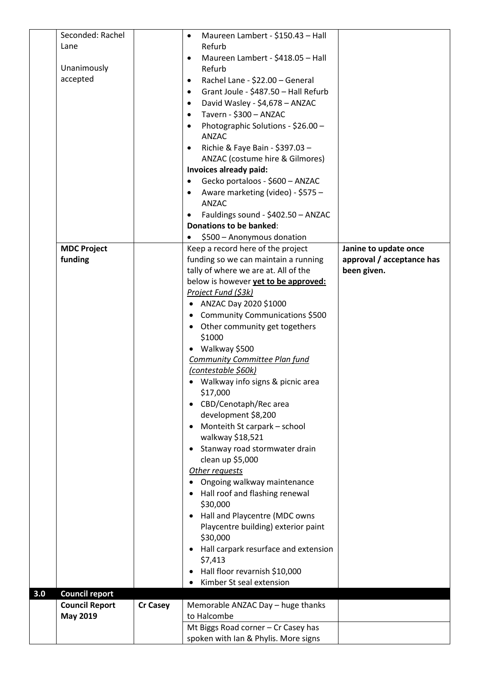|     | Seconded: Rachel      |                 | Maureen Lambert - \$150.43 - Hall<br>$\bullet$       |                           |
|-----|-----------------------|-----------------|------------------------------------------------------|---------------------------|
|     | Lane                  |                 | Refurb                                               |                           |
|     |                       |                 | Maureen Lambert - \$418.05 - Hall<br>$\bullet$       |                           |
|     | Unanimously           |                 | Refurb                                               |                           |
|     | accepted              |                 | Rachel Lane - \$22.00 - General<br>$\bullet$         |                           |
|     |                       |                 | Grant Joule - \$487.50 - Hall Refurb<br>$\bullet$    |                           |
|     |                       |                 | David Wasley - \$4,678 - ANZAC<br>$\bullet$          |                           |
|     |                       |                 | Tavern - \$300 - ANZAC<br>$\bullet$                  |                           |
|     |                       |                 | Photographic Solutions - \$26.00 -<br>$\bullet$      |                           |
|     |                       |                 | <b>ANZAC</b>                                         |                           |
|     |                       |                 | Richie & Faye Bain - \$397.03 -<br>$\bullet$         |                           |
|     |                       |                 | ANZAC (costume hire & Gilmores)                      |                           |
|     |                       |                 | Invoices already paid:                               |                           |
|     |                       |                 | Gecko portaloos - \$600 - ANZAC<br>$\bullet$         |                           |
|     |                       |                 | Aware marketing (video) - \$575 -<br>$\bullet$       |                           |
|     |                       |                 | ANZAC                                                |                           |
|     |                       |                 | Fauldings sound - \$402.50 - ANZAC<br>$\bullet$      |                           |
|     |                       |                 | <b>Donations to be banked:</b>                       |                           |
|     |                       |                 | \$500 - Anonymous donation                           |                           |
|     | <b>MDC Project</b>    |                 | Keep a record here of the project                    | Janine to update once     |
|     | funding               |                 | funding so we can maintain a running                 | approval / acceptance has |
|     |                       |                 | tally of where we are at. All of the                 | been given.               |
|     |                       |                 | below is however yet to be approved:                 |                           |
|     |                       |                 | Project Fund (\$3k)                                  |                           |
|     |                       |                 | ANZAC Day 2020 \$1000<br>$\bullet$                   |                           |
|     |                       |                 | Community Communications \$500<br>$\bullet$          |                           |
|     |                       |                 | Other community get togethers<br>$\bullet$           |                           |
|     |                       |                 | \$1000                                               |                           |
|     |                       |                 | • Walkway \$500                                      |                           |
|     |                       |                 | <b>Community Committee Plan fund</b>                 |                           |
|     |                       |                 | (contestable \$60k)                                  |                           |
|     |                       |                 | • Walkway info signs & picnic area                   |                           |
|     |                       |                 | \$17,000                                             |                           |
|     |                       |                 | CBD/Cenotaph/Rec area<br>$\bullet$                   |                           |
|     |                       |                 | development \$8,200                                  |                           |
|     |                       |                 | Monteith St carpark - school<br>$\bullet$            |                           |
|     |                       |                 | walkway \$18,521                                     |                           |
|     |                       |                 | Stanway road stormwater drain<br>٠                   |                           |
|     |                       |                 | clean up \$5,000                                     |                           |
|     |                       |                 | Other requests                                       |                           |
|     |                       |                 | Ongoing walkway maintenance                          |                           |
|     |                       |                 | Hall roof and flashing renewal<br>٠                  |                           |
|     |                       |                 | \$30,000                                             |                           |
|     |                       |                 | Hall and Playcentre (MDC owns<br>$\bullet$           |                           |
|     |                       |                 | Playcentre building) exterior paint<br>\$30,000      |                           |
|     |                       |                 |                                                      |                           |
|     |                       |                 | Hall carpark resurface and extension<br>٠<br>\$7,413 |                           |
|     |                       |                 | Hall floor revarnish \$10,000<br>٠                   |                           |
|     |                       |                 | Kimber St seal extension                             |                           |
| 3.0 | <b>Council report</b> |                 |                                                      |                           |
|     | <b>Council Report</b> | <b>Cr Casey</b> | Memorable ANZAC Day - huge thanks                    |                           |
|     | <b>May 2019</b>       |                 | to Halcombe                                          |                           |
|     |                       |                 | Mt Biggs Road corner - Cr Casey has                  |                           |
|     |                       |                 | spoken with Ian & Phylis. More signs                 |                           |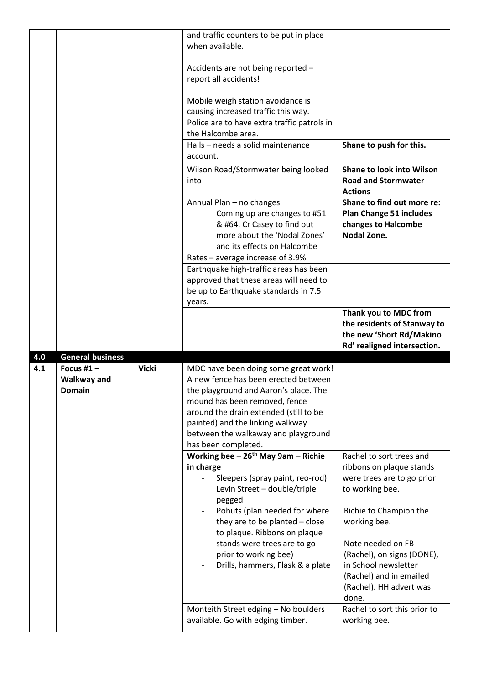|     |                                     |              | and traffic counters to be put in place<br>when available.                                  |                                                                                     |
|-----|-------------------------------------|--------------|---------------------------------------------------------------------------------------------|-------------------------------------------------------------------------------------|
|     |                                     |              | Accidents are not being reported -<br>report all accidents!                                 |                                                                                     |
|     |                                     |              | Mobile weigh station avoidance is                                                           |                                                                                     |
|     |                                     |              | causing increased traffic this way.<br>Police are to have extra traffic patrols in          |                                                                                     |
|     |                                     |              | the Halcombe area.                                                                          |                                                                                     |
|     |                                     |              | Halls - needs a solid maintenance<br>account.                                               | Shane to push for this.                                                             |
|     |                                     |              | Wilson Road/Stormwater being looked<br>into                                                 | <b>Shane to look into Wilson</b><br><b>Road and Stormwater</b><br><b>Actions</b>    |
|     |                                     |              | Annual Plan - no changes                                                                    | Shane to find out more re:                                                          |
|     |                                     |              | Coming up are changes to #51<br>& #64. Cr Casey to find out<br>more about the 'Nodal Zones' | <b>Plan Change 51 includes</b><br>changes to Halcombe<br><b>Nodal Zone.</b>         |
|     |                                     |              | and its effects on Halcombe<br>Rates - average increase of 3.9%                             |                                                                                     |
|     |                                     |              | Earthquake high-traffic areas has been                                                      |                                                                                     |
|     |                                     |              | approved that these areas will need to                                                      |                                                                                     |
|     |                                     |              | be up to Earthquake standards in 7.5<br>years.                                              |                                                                                     |
|     |                                     |              |                                                                                             | Thank you to MDC from<br>the residents of Stanway to<br>the new 'Short Rd/Makino    |
|     |                                     |              |                                                                                             | Rd' realigned intersection.                                                         |
| 4.0 | <b>General business</b>             |              |                                                                                             |                                                                                     |
| 4.1 | Focus #1 $-$                        | <b>Vicki</b> | MDC have been doing some great work!                                                        |                                                                                     |
|     | <b>Walkway and</b><br><b>Domain</b> |              | A new fence has been erected between<br>the playground and Aaron's place. The               |                                                                                     |
|     |                                     |              | mound has been removed, fence                                                               |                                                                                     |
|     |                                     |              | around the drain extended (still to be                                                      |                                                                                     |
|     |                                     |              | painted) and the linking walkway                                                            |                                                                                     |
|     |                                     |              | between the walkaway and playground<br>has been completed.                                  |                                                                                     |
|     |                                     |              | Working bee $-26$ <sup>th</sup> May 9am - Richie<br>in charge                               | Rachel to sort trees and<br>ribbons on plaque stands                                |
|     |                                     |              | Sleepers (spray paint, reo-rod)<br>Levin Street - double/triple                             | were trees are to go prior<br>to working bee.                                       |
|     |                                     |              | pegged<br>Pohuts (plan needed for where                                                     | Richie to Champion the                                                              |
|     |                                     |              | they are to be planted - close                                                              | working bee.                                                                        |
|     |                                     |              | to plaque. Ribbons on plaque<br>stands were trees are to go                                 | Note needed on FB                                                                   |
|     |                                     |              | prior to working bee)                                                                       | (Rachel), on signs (DONE),                                                          |
|     |                                     |              | Drills, hammers, Flask & a plate                                                            | in School newsletter<br>(Rachel) and in emailed<br>(Rachel). HH advert was<br>done. |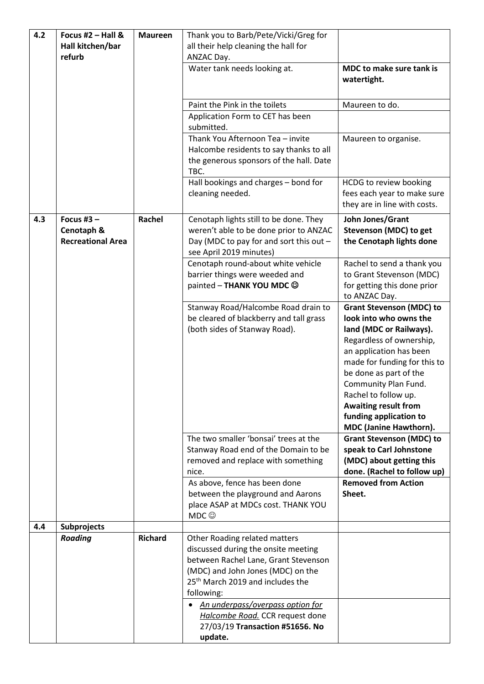| 4.2<br>Focus #2 $-$ Hall &<br>Hall kitchen/bar |                                                        | <b>Maureen</b> | Thank you to Barb/Pete/Vicki/Greg for<br>all their help cleaning the hall for                                                                                                                                                                       |                                                                                                                                                                                                                                                                                                                                                 |  |
|------------------------------------------------|--------------------------------------------------------|----------------|-----------------------------------------------------------------------------------------------------------------------------------------------------------------------------------------------------------------------------------------------------|-------------------------------------------------------------------------------------------------------------------------------------------------------------------------------------------------------------------------------------------------------------------------------------------------------------------------------------------------|--|
|                                                | refurb                                                 |                | ANZAC Day.<br>Water tank needs looking at.                                                                                                                                                                                                          | MDC to make sure tank is                                                                                                                                                                                                                                                                                                                        |  |
|                                                |                                                        |                |                                                                                                                                                                                                                                                     | watertight.                                                                                                                                                                                                                                                                                                                                     |  |
|                                                |                                                        |                | Paint the Pink in the toilets                                                                                                                                                                                                                       | Maureen to do.                                                                                                                                                                                                                                                                                                                                  |  |
|                                                |                                                        |                | Application Form to CET has been<br>submitted.                                                                                                                                                                                                      |                                                                                                                                                                                                                                                                                                                                                 |  |
|                                                |                                                        |                | Thank You Afternoon Tea - invite<br>Halcombe residents to say thanks to all<br>the generous sponsors of the hall. Date<br>TBC.                                                                                                                      | Maureen to organise.                                                                                                                                                                                                                                                                                                                            |  |
|                                                |                                                        |                | Hall bookings and charges - bond for<br>cleaning needed.                                                                                                                                                                                            | HCDG to review booking<br>fees each year to make sure<br>they are in line with costs.                                                                                                                                                                                                                                                           |  |
| 4.3                                            | Focus #3 $-$<br>Cenotaph &<br><b>Recreational Area</b> | Rachel         | Cenotaph lights still to be done. They<br>weren't able to be done prior to ANZAC<br>Day (MDC to pay for and sort this out -<br>see April 2019 minutes)                                                                                              | John Jones/Grant<br>Stevenson (MDC) to get<br>the Cenotaph lights done                                                                                                                                                                                                                                                                          |  |
|                                                |                                                        |                | Cenotaph round-about white vehicle<br>barrier things were weeded and<br>painted - THANK YOU MDC CO                                                                                                                                                  | Rachel to send a thank you<br>to Grant Stevenson (MDC)<br>for getting this done prior<br>to ANZAC Day.                                                                                                                                                                                                                                          |  |
|                                                |                                                        |                | Stanway Road/Halcombe Road drain to<br>be cleared of blackberry and tall grass<br>(both sides of Stanway Road).                                                                                                                                     | <b>Grant Stevenson (MDC) to</b><br>look into who owns the<br>land (MDC or Railways).<br>Regardless of ownership,<br>an application has been<br>made for funding for this to<br>be done as part of the<br>Community Plan Fund.<br>Rachel to follow up.<br><b>Awaiting result from</b><br>funding application to<br><b>MDC (Janine Hawthorn).</b> |  |
|                                                |                                                        |                | The two smaller 'bonsai' trees at the<br>Stanway Road end of the Domain to be                                                                                                                                                                       | <b>Grant Stevenson (MDC) to</b><br>speak to Carl Johnstone                                                                                                                                                                                                                                                                                      |  |
|                                                |                                                        |                | removed and replace with something                                                                                                                                                                                                                  | (MDC) about getting this                                                                                                                                                                                                                                                                                                                        |  |
|                                                |                                                        |                | nice.<br>As above, fence has been done                                                                                                                                                                                                              | done. (Rachel to follow up)<br><b>Removed from Action</b>                                                                                                                                                                                                                                                                                       |  |
|                                                |                                                        |                | between the playground and Aarons<br>place ASAP at MDCs cost. THANK YOU<br>MDC                                                                                                                                                                      | Sheet.                                                                                                                                                                                                                                                                                                                                          |  |
| 4.4                                            | <b>Subprojects</b>                                     |                |                                                                                                                                                                                                                                                     |                                                                                                                                                                                                                                                                                                                                                 |  |
|                                                | <b>Roading</b>                                         | <b>Richard</b> | Other Roading related matters<br>discussed during the onsite meeting<br>between Rachel Lane, Grant Stevenson<br>(MDC) and John Jones (MDC) on the<br>25 <sup>th</sup> March 2019 and includes the<br>following:<br>An underpass/overpass option for |                                                                                                                                                                                                                                                                                                                                                 |  |
|                                                |                                                        |                | Halcombe Road. CCR request done<br>27/03/19 Transaction #51656. No<br>update.                                                                                                                                                                       |                                                                                                                                                                                                                                                                                                                                                 |  |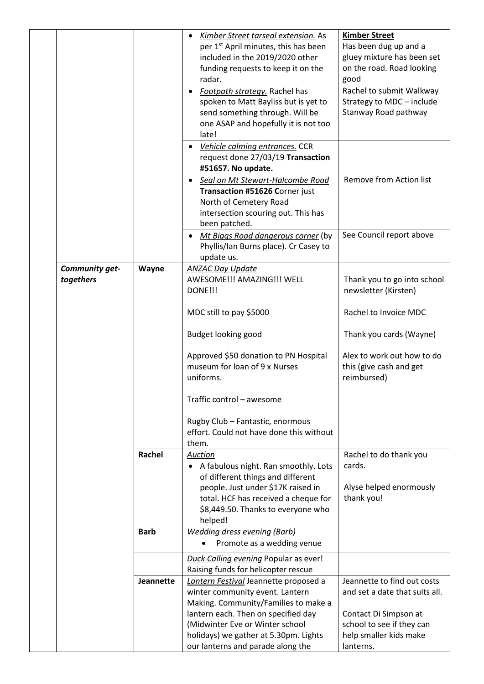|                             |                  | Kimber Street tarseal extension. As<br>per 1 <sup>st</sup> April minutes, this has been<br>included in the 2019/2020 other<br>funding requests to keep it on the<br>radar. | <b>Kimber Street</b><br>Has been dug up and a<br>gluey mixture has been set<br>on the road. Road looking<br>good |
|-----------------------------|------------------|----------------------------------------------------------------------------------------------------------------------------------------------------------------------------|------------------------------------------------------------------------------------------------------------------|
|                             |                  | • Footpath strategy. Rachel has<br>spoken to Matt Bayliss but is yet to<br>send something through. Will be<br>one ASAP and hopefully it is not too<br>late!                | Rachel to submit Walkway<br>Strategy to MDC - include<br>Stanway Road pathway                                    |
|                             |                  | • Vehicle calming entrances. CCR<br>request done 27/03/19 Transaction<br>#51657. No update.                                                                                |                                                                                                                  |
|                             |                  | • Seal on Mt Stewart-Halcombe Road<br>Transaction #51626 Corner just<br>North of Cemetery Road<br>intersection scouring out. This has<br>been patched.                     | Remove from Action list                                                                                          |
|                             |                  | Mt Biggs Road dangerous corner (by<br>Phyllis/Ian Burns place). Cr Casey to<br>update us.                                                                                  | See Council report above                                                                                         |
| Community get-<br>togethers | Wayne            | <b>ANZAC Day Update</b><br>AWESOME!!! AMAZING!!! WELL<br>DONE!!!                                                                                                           | Thank you to go into school<br>newsletter (Kirsten)                                                              |
|                             |                  | MDC still to pay \$5000                                                                                                                                                    | Rachel to Invoice MDC                                                                                            |
|                             |                  | Budget looking good                                                                                                                                                        | Thank you cards (Wayne)                                                                                          |
|                             |                  | Approved \$50 donation to PN Hospital<br>museum for loan of 9 x Nurses<br>uniforms.                                                                                        | Alex to work out how to do<br>this (give cash and get<br>reimbursed)                                             |
|                             |                  | Traffic control - awesome                                                                                                                                                  |                                                                                                                  |
|                             |                  | Rugby Club - Fantastic, enormous<br>effort. Could not have done this without<br>them.                                                                                      |                                                                                                                  |
|                             | Rachel           | Auction<br>A fabulous night. Ran smoothly. Lots<br>of different things and different                                                                                       | Rachel to do thank you<br>cards.                                                                                 |
|                             |                  | people. Just under \$17K raised in<br>total. HCF has received a cheque for<br>\$8,449.50. Thanks to everyone who<br>helped!                                                | Alyse helped enormously<br>thank you!                                                                            |
|                             | <b>Barb</b>      | <b>Wedding dress evening (Barb)</b><br>Promote as a wedding venue<br>$\bullet$                                                                                             |                                                                                                                  |
|                             |                  | Duck Calling evening Popular as ever!<br>Raising funds for helicopter rescue                                                                                               |                                                                                                                  |
|                             | <b>Jeannette</b> | Lantern Festival Jeannette proposed a<br>winter community event. Lantern<br>Making. Community/Families to make a                                                           | Jeannette to find out costs<br>and set a date that suits all.                                                    |
|                             |                  | lantern each. Then on specified day<br>(Midwinter Eve or Winter school<br>holidays) we gather at 5.30pm. Lights                                                            | Contact Di Simpson at<br>school to see if they can<br>help smaller kids make                                     |
|                             |                  | our lanterns and parade along the                                                                                                                                          | lanterns.                                                                                                        |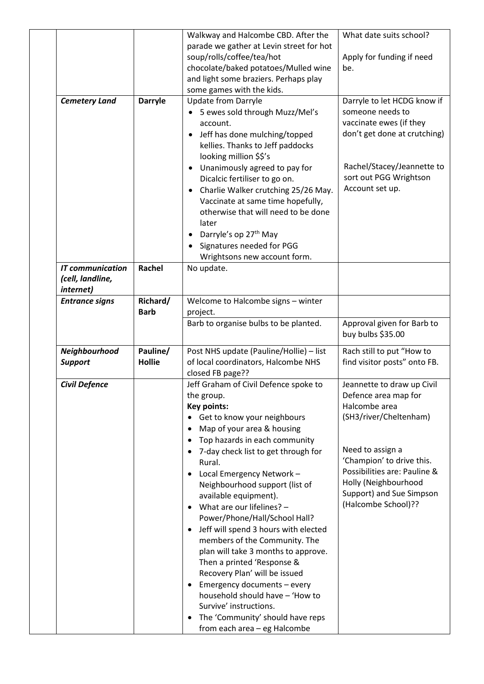|                         |                | Walkway and Halcombe CBD. After the                                           | What date suits school?                              |
|-------------------------|----------------|-------------------------------------------------------------------------------|------------------------------------------------------|
|                         |                | parade we gather at Levin street for hot                                      |                                                      |
|                         |                | soup/rolls/coffee/tea/hot                                                     | Apply for funding if need                            |
|                         |                | chocolate/baked potatoes/Mulled wine                                          | be.                                                  |
|                         |                | and light some braziers. Perhaps play                                         |                                                      |
|                         |                | some games with the kids.                                                     |                                                      |
| <b>Cemetery Land</b>    | <b>Darryle</b> | <b>Update from Darryle</b>                                                    | Darryle to let HCDG know if                          |
|                         |                | 5 ewes sold through Muzz/Mel's                                                | someone needs to                                     |
|                         |                | account.                                                                      | vaccinate ewes (if they                              |
|                         |                | Jeff has done mulching/topped<br>$\bullet$                                    | don't get done at crutching)                         |
|                         |                | kellies. Thanks to Jeff paddocks                                              |                                                      |
|                         |                | looking million \$\$'s                                                        |                                                      |
|                         |                | Unanimously agreed to pay for<br>$\bullet$                                    | Rachel/Stacey/Jeannette to<br>sort out PGG Wrightson |
|                         |                | Dicalcic fertiliser to go on.                                                 | Account set up.                                      |
|                         |                | Charlie Walker crutching 25/26 May.<br>$\bullet$                              |                                                      |
|                         |                | Vaccinate at same time hopefully,                                             |                                                      |
|                         |                | otherwise that will need to be done                                           |                                                      |
|                         |                | later<br>Darryle's op 27 <sup>th</sup> May                                    |                                                      |
|                         |                | Signatures needed for PGG                                                     |                                                      |
|                         |                | Wrightsons new account form.                                                  |                                                      |
| <b>IT communication</b> | <b>Rachel</b>  | No update.                                                                    |                                                      |
| (cell, landline,        |                |                                                                               |                                                      |
| internet)               |                |                                                                               |                                                      |
| <b>Entrance signs</b>   | Richard/       | Welcome to Halcombe signs - winter                                            |                                                      |
|                         | <b>Barb</b>    | project.                                                                      |                                                      |
|                         |                | Barb to organise bulbs to be planted.                                         | Approval given for Barb to                           |
|                         |                |                                                                               | buy bulbs \$35.00                                    |
| Neighbourhood           | Pauline/       | Post NHS update (Pauline/Hollie) - list                                       | Rach still to put "How to                            |
| <b>Support</b>          | <b>Hollie</b>  | of local coordinators, Halcombe NHS                                           | find visitor posts" onto FB.                         |
|                         |                | closed FB page??                                                              |                                                      |
| <b>Civil Defence</b>    |                | Jeff Graham of Civil Defence spoke to                                         | Jeannette to draw up Civil                           |
|                         |                | the group.                                                                    | Defence area map for                                 |
|                         |                | Key points:                                                                   | Halcombe area                                        |
|                         |                | Get to know your neighbours<br>$\bullet$                                      | (SH3/river/Cheltenham)                               |
|                         |                | Map of your area & housing<br>٠                                               |                                                      |
|                         |                | Top hazards in each community                                                 |                                                      |
|                         |                | 7-day check list to get through for<br>$\bullet$                              | Need to assign a                                     |
|                         |                | Rural.                                                                        | 'Champion' to drive this.                            |
|                         |                | Local Emergency Network -<br>$\bullet$                                        | Possibilities are: Pauline &                         |
|                         |                | Neighbourhood support (list of                                                | Holly (Neighbourhood                                 |
|                         |                | available equipment).                                                         | Support) and Sue Simpson                             |
|                         |                | What are our lifelines? -<br>$\bullet$                                        | (Halcombe School)??                                  |
|                         |                | Power/Phone/Hall/School Hall?                                                 |                                                      |
|                         |                | Jeff will spend 3 hours with elected<br>$\bullet$                             |                                                      |
|                         |                | members of the Community. The                                                 |                                                      |
|                         |                | plan will take 3 months to approve.                                           |                                                      |
|                         |                | Then a printed 'Response &                                                    |                                                      |
|                         |                | Recovery Plan' will be issued                                                 |                                                      |
|                         |                | Emergency documents - every<br>$\bullet$                                      |                                                      |
|                         |                | household should have - 'How to                                               |                                                      |
|                         |                | Survive' instructions.                                                        |                                                      |
|                         |                |                                                                               |                                                      |
|                         |                | The 'Community' should have reps<br>$\bullet$<br>from each area - eg Halcombe |                                                      |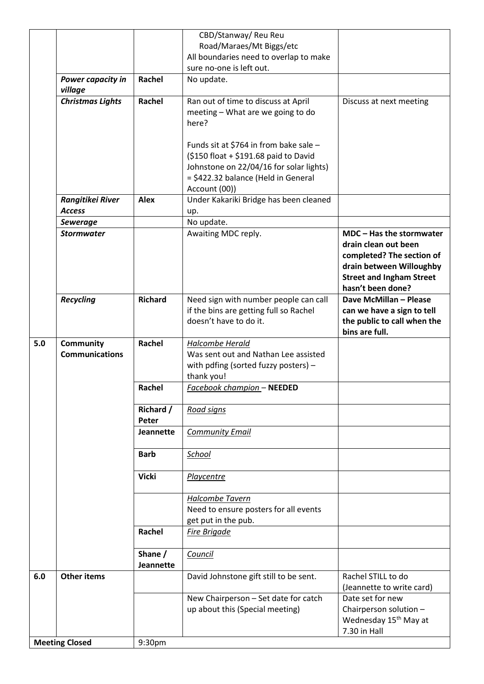|     |                                           |                             | CBD/Stanway/ Reu Reu                                                                                                                                                               |                                                                                                                                                                   |
|-----|-------------------------------------------|-----------------------------|------------------------------------------------------------------------------------------------------------------------------------------------------------------------------------|-------------------------------------------------------------------------------------------------------------------------------------------------------------------|
|     |                                           |                             | Road/Maraes/Mt Biggs/etc                                                                                                                                                           |                                                                                                                                                                   |
|     |                                           |                             | All boundaries need to overlap to make                                                                                                                                             |                                                                                                                                                                   |
|     |                                           |                             | sure no-one is left out.                                                                                                                                                           |                                                                                                                                                                   |
|     | Power capacity in<br>village              | Rachel                      | No update.                                                                                                                                                                         |                                                                                                                                                                   |
|     | <b>Christmas Lights</b>                   | Rachel                      | Ran out of time to discuss at April<br>meeting - What are we going to do<br>here?                                                                                                  | Discuss at next meeting                                                                                                                                           |
|     |                                           |                             | Funds sit at \$764 in from bake sale -<br>(\$150 float + \$191.68 paid to David<br>Johnstone on 22/04/16 for solar lights)<br>= \$422.32 balance (Held in General<br>Account (00)) |                                                                                                                                                                   |
|     | Rangitikei River<br><b>Access</b>         | <b>Alex</b>                 | Under Kakariki Bridge has been cleaned<br>up.                                                                                                                                      |                                                                                                                                                                   |
|     | <b>Sewerage</b>                           |                             | No update.                                                                                                                                                                         |                                                                                                                                                                   |
|     | <b>Stormwater</b>                         |                             | Awaiting MDC reply.                                                                                                                                                                | MDC - Has the stormwater<br>drain clean out been<br>completed? The section of<br>drain between Willoughby<br><b>Street and Ingham Street</b><br>hasn't been done? |
|     | <b>Recycling</b>                          | <b>Richard</b>              | Need sign with number people can call<br>if the bins are getting full so Rachel                                                                                                    | Dave McMillan - Please<br>can we have a sign to tell                                                                                                              |
|     |                                           |                             | doesn't have to do it.                                                                                                                                                             | the public to call when the<br>bins are full.                                                                                                                     |
|     |                                           |                             |                                                                                                                                                                                    |                                                                                                                                                                   |
| 5.0 | <b>Community</b><br><b>Communications</b> | Rachel                      | Halcombe Herald<br>Was sent out and Nathan Lee assisted<br>with pdfing (sorted fuzzy posters) -<br>thank you!                                                                      |                                                                                                                                                                   |
|     |                                           | Rachel                      | Facebook champion - NEEDED                                                                                                                                                         |                                                                                                                                                                   |
|     |                                           | <b>Richard /</b>            | <b>Road signs</b>                                                                                                                                                                  |                                                                                                                                                                   |
|     |                                           | Peter                       |                                                                                                                                                                                    |                                                                                                                                                                   |
|     |                                           | <b>Jeannette</b>            | <b>Community Email</b>                                                                                                                                                             |                                                                                                                                                                   |
|     |                                           | <b>Barb</b>                 | School                                                                                                                                                                             |                                                                                                                                                                   |
|     |                                           | <b>Vicki</b>                | Playcentre                                                                                                                                                                         |                                                                                                                                                                   |
|     |                                           |                             | Halcombe Tavern<br>Need to ensure posters for all events<br>get put in the pub.                                                                                                    |                                                                                                                                                                   |
|     |                                           | Rachel                      | Fire Brigade                                                                                                                                                                       |                                                                                                                                                                   |
|     |                                           | Shane /<br><b>Jeannette</b> | Council                                                                                                                                                                            |                                                                                                                                                                   |
| 6.0 | <b>Other items</b>                        |                             | David Johnstone gift still to be sent.                                                                                                                                             | Rachel STILL to do<br>(Jeannette to write card)                                                                                                                   |
|     |                                           |                             | New Chairperson - Set date for catch<br>up about this (Special meeting)                                                                                                            | Date set for new<br>Chairperson solution -<br>Wednesday 15 <sup>th</sup> May at                                                                                   |
|     | <b>Meeting Closed</b>                     | 9:30pm                      |                                                                                                                                                                                    | 7.30 in Hall                                                                                                                                                      |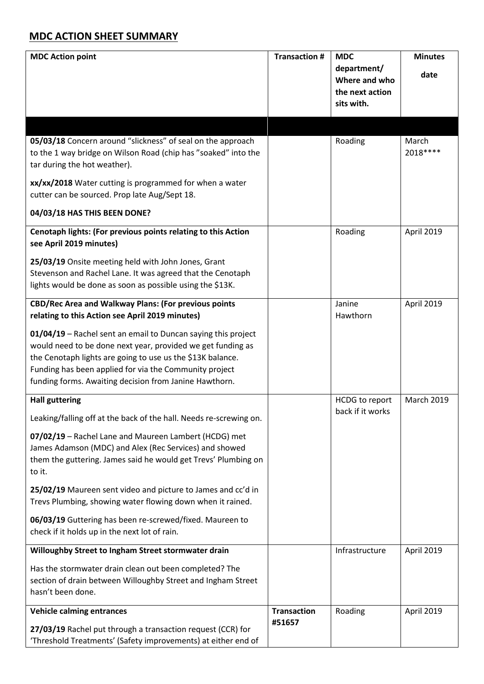## **MDC ACTION SHEET SUMMARY**

| <b>MDC Action point</b>                                                                                                                     | <b>Transaction #</b> | <b>MDC</b><br>department/<br>Where and who<br>the next action<br>sits with. | <b>Minutes</b><br>date |
|---------------------------------------------------------------------------------------------------------------------------------------------|----------------------|-----------------------------------------------------------------------------|------------------------|
|                                                                                                                                             |                      |                                                                             |                        |
| 05/03/18 Concern around "slickness" of seal on the approach<br>to the 1 way bridge on Wilson Road (chip has "soaked" into the               |                      | Roading                                                                     | March<br>2018 ****     |
| tar during the hot weather).                                                                                                                |                      |                                                                             |                        |
|                                                                                                                                             |                      |                                                                             |                        |
| xx/xx/2018 Water cutting is programmed for when a water                                                                                     |                      |                                                                             |                        |
| cutter can be sourced. Prop late Aug/Sept 18.                                                                                               |                      |                                                                             |                        |
| 04/03/18 HAS THIS BEEN DONE?                                                                                                                |                      |                                                                             |                        |
| Cenotaph lights: (For previous points relating to this Action<br>see April 2019 minutes)                                                    |                      | Roading                                                                     | April 2019             |
| 25/03/19 Onsite meeting held with John Jones, Grant                                                                                         |                      |                                                                             |                        |
| Stevenson and Rachel Lane. It was agreed that the Cenotaph                                                                                  |                      |                                                                             |                        |
| lights would be done as soon as possible using the \$13K.                                                                                   |                      |                                                                             |                        |
| <b>CBD/Rec Area and Walkway Plans: (For previous points</b>                                                                                 |                      | Janine                                                                      | April 2019             |
| relating to this Action see April 2019 minutes)                                                                                             |                      | Hawthorn                                                                    |                        |
| 01/04/19 - Rachel sent an email to Duncan saying this project                                                                               |                      |                                                                             |                        |
| would need to be done next year, provided we get funding as                                                                                 |                      |                                                                             |                        |
| the Cenotaph lights are going to use us the \$13K balance.                                                                                  |                      |                                                                             |                        |
| Funding has been applied for via the Community project                                                                                      |                      |                                                                             |                        |
| funding forms. Awaiting decision from Janine Hawthorn.                                                                                      |                      |                                                                             |                        |
| <b>Hall guttering</b>                                                                                                                       |                      | <b>HCDG</b> to report                                                       | <b>March 2019</b>      |
| Leaking/falling off at the back of the hall. Needs re-screwing on.                                                                          |                      | back if it works                                                            |                        |
| 07/02/19 - Rachel Lane and Maureen Lambert (HCDG) met                                                                                       |                      |                                                                             |                        |
| James Adamson (MDC) and Alex (Rec Services) and showed                                                                                      |                      |                                                                             |                        |
| them the guttering. James said he would get Trevs' Plumbing on<br>to it.                                                                    |                      |                                                                             |                        |
| 25/02/19 Maureen sent video and picture to James and cc'd in<br>Trevs Plumbing, showing water flowing down when it rained.                  |                      |                                                                             |                        |
| 06/03/19 Guttering has been re-screwed/fixed. Maureen to<br>check if it holds up in the next lot of rain.                                   |                      |                                                                             |                        |
| Willoughby Street to Ingham Street stormwater drain                                                                                         |                      | Infrastructure                                                              | April 2019             |
| Has the stormwater drain clean out been completed? The<br>section of drain between Willoughby Street and Ingham Street<br>hasn't been done. |                      |                                                                             |                        |
| <b>Vehicle calming entrances</b>                                                                                                            | <b>Transaction</b>   | Roading                                                                     | April 2019             |
| 27/03/19 Rachel put through a transaction request (CCR) for<br>'Threshold Treatments' (Safety improvements) at either end of                | #51657               |                                                                             |                        |